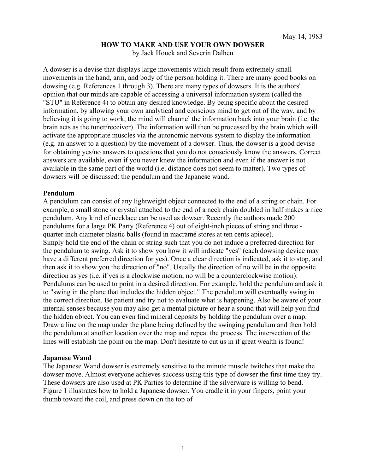## **HOW TO MAKE AND USE YOUR OWN DOWSER**

by Jack Houck and Severin Dalhen

A dowser is a devise that displays large movements which result from extremely small movements in the hand, arm, and body of the person holding it. There are many good books on dowsing (e.g. References 1 through 3). There are many types of dowsers. It is the authors' opinion that our minds are capable of accessing a universal information system (called the "STU" in Reference 4) to obtain any desired knowledge. By being specific about the desired information, by allowing your own analytical and conscious mind to get out of the way, and by believing it is going to work, the mind will channel the information back into your brain (i.e. the brain acts as the tuner/receiver). The information will then be processed by the brain which will activate the appropriate muscles via the autonomic nervous system to display the information (e.g. an answer to a question) by the movement of a dowser. Thus, the dowser is a good devise for obtaining yes/no answers to questions that you do not consciously know the answers. Correct answers are available, even if you never knew the information and even if the answer is not available in the same part of the world (i.e. distance does not seem to matter). Two types of dowsers will be discussed: the pendulum and the Japanese wand.

## **Pendulum**

A pendulum can consist of any lightweight object connected to the end of a string or chain. For example, a small stone or crystal attached to the end of a neck chain doubled in half makes a nice pendulum. Any kind of necklace can be used as dowser. Recently the authors made 200 pendulums for a large PK Party (Reference 4) out of eight-inch pieces of string and three quarter inch diameter plastic balls (found in macramé stores at ten cents apiece). Simply hold the end of the chain or string such that you do not induce a preferred direction for the pendulum to swing. Ask it to show you how it will indicate "yes" (each dowsing device may have a different preferred direction for yes). Once a clear direction is indicated, ask it to stop, and then ask it to show you the direction of "no". Usually the direction of no will be in the opposite direction as yes (i.e. if yes is a clockwise motion, no will be a counterclockwise motion). Pendulums can be used to point in a desired direction. For example, hold the pendulum and ask it to "swing in the plane that includes the hidden object." The pendulum will eventually swing in the correct direction. Be patient and try not to evaluate what is happening. Also be aware of your internal senses because you may also get a mental picture or hear a sound that will help you find the hidden object. You can even find mineral deposits by holding the pendulum over a map. Draw a line on the map under the plane being defined by the swinging pendulum and then hold the pendulum at another location over the map and repeat the process. The intersection of the lines will establish the point on the map. Don't hesitate to cut us in if great wealth is found!

## **Japanese Wand**

The Japanese Wand dowser is extremely sensitive to the minute muscle twitches that make the dowser move. Almost everyone achieves success using this type of dowser the first time they try. These dowsers are also used at PK Parties to determine if the silverware is willing to bend. Figure 1 illustrates how to hold a Japanese dowser. You cradle it in your fingers, point your thumb toward the coil, and press down on the top of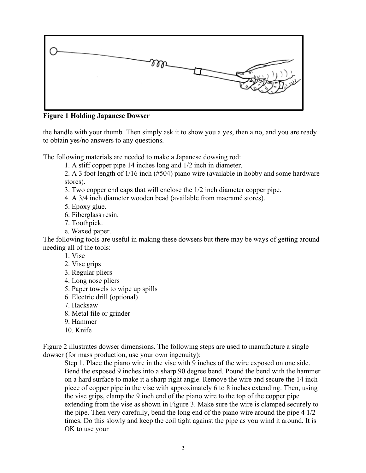

**Figure 1 Holding Japanese Dowser** 

the handle with your thumb. Then simply ask it to show you a yes, then a no, and you are ready to obtain yes/no answers to any questions.

The following materials are needed to make a Japanese dowsing rod:

1. A stiff copper pipe 14 inches long and 1/2 inch in diameter.

2. A 3 foot length of 1/16 inch (#504) piano wire (available in hobby and some hardware stores).

3. Two copper end caps that will enclose the 1/2 inch diameter copper pipe.

4. A 3/4 inch diameter wooden bead (available from macramé stores).

5. Epoxy glue.

6. Fiberglass resin.

7. Toothpick.

e. Waxed paper.

The following tools are useful in making these dowsers but there may be ways of getting around needing all of the tools:

1. Vise

- 2. Vise grips
- 3. Regular pliers
- 4. Long nose pliers
- 5. Paper towels to wipe up spills
- 6. Electric drill (optional)
- 7. Hacksaw
- 8. Metal file or grinder
- 9. Hammer
- 10. Knife

Figure 2 illustrates dowser dimensions. The following steps are used to manufacture a single dowser (for mass production, use your own ingenuity):

Step 1. Place the piano wire in the vise with 9 inches of the wire exposed on one side. Bend the exposed 9 inches into a sharp 90 degree bend. Pound the bend with the hammer on a hard surface to make it a sharp right angle. Remove the wire and secure the 14 inch piece of copper pipe in the vise with approximately 6 to 8 inches extending. Then, using the vise grips, clamp the 9 inch end of the piano wire to the top of the copper pipe extending from the vise as shown in Figure 3. Make sure the wire is clamped securely to the pipe. Then very carefully, bend the long end of the piano wire around the pipe 4 1/2 times. Do this slowly and keep the coil tight against the pipe as you wind it around. It is OK to use your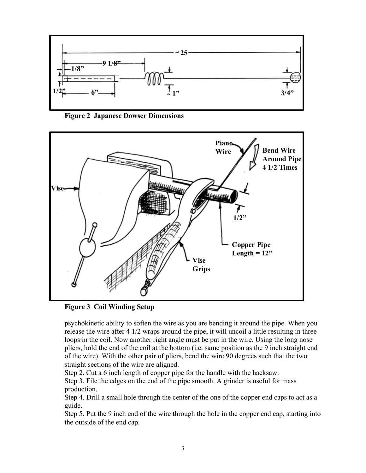

**Figure 2 Japanese Dowser Dimensions** 



**Figure 3 Coil Winding Setup** 

psychokinetic ability to soften the wire as you are bending it around the pipe. When you release the wire after 4 1/2 wraps around the pipe, it will uncoil a little resulting in three loops in the coil. Now another right angle must be put in the wire. Using the long nose pliers, hold the end of the coil at the bottom (i.e. same position as the 9 inch straight end of the wire). With the other pair of pliers, bend the wire 90 degrees such that the two straight sections of the wire are aligned.

Step 2. Cut a 6 inch length of copper pipe for the handle with the hacksaw.

Step 3. File the edges on the end of the pipe smooth. A grinder is useful for mass production.

Step 4. Drill a small hole through the center of the one of the copper end caps to act as a guide.

Step 5. Put the 9 inch end of the wire through the hole in the copper end cap, starting into the outside of the end cap.